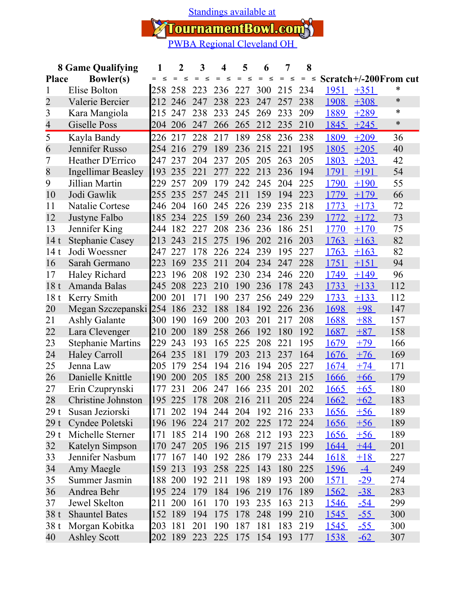[Standings available at](https://tournamentbowl.com/Open/standings_custom.cfm?id_event=4903&id_tournament=1522)

TournamentBowl.com<sup>3</sup><br>**PWBA Regional Cleveland OH** 

|                                  | <b>8 Game Qualifying</b>  | 1           | 2          | 3   | 4           | 5             | 6             | 7             | 8             |               |             |                       |
|----------------------------------|---------------------------|-------------|------------|-----|-------------|---------------|---------------|---------------|---------------|---------------|-------------|-----------------------|
| <b>Bowler(s)</b><br><b>Place</b> |                           |             |            | ≤   | $\leq$      | $\leq$<br>$=$ | $\leq$<br>$=$ | $=$<br>$\leq$ | $\leq$<br>$=$ |               |             | Scratch+/-200From cut |
|                                  | Elise Bolton              | 258         | 258        | 223 | 236         | 227           | 300           | 215           | 234           | 1951          | $+351$      | *                     |
| $\overline{2}$                   | Valerie Bercier           | 212         | 246        | 247 | 238         | 223           | 247           | 257           | 238           | 1908          | $+308$      | $\ast$                |
| 3                                | Kara Mangiola             | 215         | 247        | 238 | 233         | 245           | 269           | 233           | 209           | 1889          | $+289$      | $\ast$                |
| $\overline{4}$                   | Giselle Poss              |             | 204 206    | 247 | 266         | 265           | 212           | 235           | 210           | 1845          | $+245$      | $\ast$                |
| 5                                | Kayla Bandy               | 226         | 217        | 228 | 217         | 189           | 258           | 236           | 238           | 1809          | $+209$      | 36                    |
| 6                                | Jennifer Russo            | 254         | 216        | 279 | 189         | 236           | 215           | 221           | 195           | 1805          | $+205$      | 40                    |
| 7                                | <b>Heather D'Errico</b>   | 1247        | 237        | 204 | 237         | 205           | 205           | 263           | 205           | 1803          | $+203$      | 42                    |
| 8                                | <b>Ingellimar Beasley</b> | 193         | 235        | 221 | 277         | 222           | 213           | 236           | 194           | 1791          | $+191$      | 54                    |
| 9                                | Jillian Martin            | 229         | 257        | 209 | 179         | 242           | 245           | 204           | 225           | 1790          | $+190$      | 55                    |
| 10                               | Jodi Gawlik               | 255         | 235        | 257 | 245         | 211           | 159           | 194           | 223           | 1779          | $+179$      | 66                    |
| 11                               | <b>Natalie Cortese</b>    | 246         | 204        | 160 | 245         | 226           | 239           | 235           | 218           | 1773          | $+173$      | 72                    |
| 12                               | Justyne Falbo             | 185         | 234        | 225 | 159         | 260           | 234           | 236           | 239           | 1772          | $+172$      | 73                    |
| 13                               | Jennifer King             | 244         | 182        | 227 | 208         | 236           | 236           | 186           | 251           | 1770          | $+170$      | 75                    |
| 14<br>t                          | <b>Stephanie Casey</b>    | $\vert$ 213 | 243        | 215 | 275         | 196           | 202           | 216           | 203           | 1763          | $+163$      | 82                    |
| 14t                              | Jodi Woessner             | 247         | 227        | 178 | 226         | 224           | 239           | 195           | 227           | 1763          | $+163$      | 82                    |
| 16                               | Sarah Germano             | 223         | 169        | 235 | 211         | 204           | 234           | 247           | 228           | 1751          | $+151$      | 94                    |
| 17                               | Haley Richard             | 223         | 196        | 208 | 192         | 230           | 234           | 246           | 220           | 1749          | $+149$      | 96                    |
| 18<br>t                          | Amanda Balas              | 245         | 208        | 223 | 210         | 190           | 236           | 178           | 243           | 1733          | $+133$      | 112                   |
| 18 <sub>t</sub>                  | Kerry Smith               | 200         | 201        | 171 | 190         | 237           | 256           | 249           | 229           | 1733          | $+133$      | 112                   |
| 20                               | Megan Szczepanski 254     |             | 186        | 232 | 188         | 184           | 192           | 226           | 236           | 1698          | $+98$       | 147                   |
| 21                               | <b>Ashly Galante</b>      | 300         | 190        | 169 | 200         | 203           | 201           | 217           | 208           | 1688          | $+88$       | 157                   |
| 22                               | Lara Clevenger            | <b>210</b>  | 200        | 189 | 258         | 266           | 192           | 180           | 192           | 1687          | $+87$       | 158                   |
| 23                               | <b>Stephanie Martins</b>  | 229         | 243        | 193 | 165         | 225           | 208           | 221           | 195           | 1679          | $+79$       | 166                   |
| 24                               | <b>Haley Carroll</b>      | 264         | 235        | 181 | 179         | 203           | 213           | 237           | 164           | 1676          | $+76$       | 169                   |
| 25                               | Jenna Law                 | 205         | 179        | 254 | 194         | 216           | 194           | 205           | 227           | 1674          | $+74$       | 171                   |
| 26                               | Danielle Knittle          | 190         | 200        | 205 | 185         | 200           | 258           | 213           | 215           | 1666          | $+66$       | 179                   |
| 27                               | Erin Czuprynski           | 177         | 231        | 206 | 247         | 166           | 235           | 201           | 202           | 1665          | $+65$       | 180                   |
| 28                               | Christine Johnston        | 195         | 225        | 178 | 208         | 216           | 211           | 205           | 224           | 1662          | $+62$       | 183                   |
| 29t                              | Susan Jeziorski           | 171         | 202        |     | 194 244 204 |               | 192           | 216           | 233           | <u>1656</u>   | $+56$       | 189                   |
| 29 t                             | Cyndee Poletski           |             | 196 196    | 224 | 217         | 202           | 225           | 172           | 224           | 1656          | $+56$       | 189                   |
| 29t                              | Michelle Sterner          | 171         | 185        | 214 | 190         | 268           | 212           | 193           | 223           | <u>1656</u>   | $+56$       | 189                   |
| 32                               | Katelyn Simpson           | 170         | 247        | 205 | 196         | 215           | 197           | 215           | 199           | <u>1644</u>   | $+44$       | 201                   |
| 33                               | Jennifer Nasbum           | 177         | 167        | 140 | 192         | 286           | 179           | 233           | 244           | 1618          | $+18$       | 227                   |
| 34                               | Amy Maegle                | 159         | 213        | 193 | 258         | 225           | 143           | 180           | 225           | 1596          | $-4$        | 249                   |
| 35                               | Summer Jasmin             |             | 188 200    | 192 | 211         | 198           | 189           | 193           | 200           | <u> 1571 </u> | $-29$       | 274                   |
| 36                               | Andrea Behr               |             | 195 224    | 179 | 184         | 196           | 219           | 176           | 189           | <u>1562</u>   | $-38$       | 283                   |
| 37                               | Jewel Skelton             | 211         | <b>200</b> | 161 | 170         | 193           | 235           | 163           | 213           | <u>1546</u>   | <u>-54 </u> | 299                   |
| 38t                              | <b>Shauntel Bates</b>     |             | 152 189    | 194 | 175         | 178           | 248           | 199           | 210           | <u>1545</u>   | $-55$       | 300                   |
| 38t                              | Morgan Kobitka            | 203         | 181        | 201 | 190         | 187           | 181           | 183           | 219           | <u>1545</u>   | <u>-55 </u> | 300                   |
| 40                               | <b>Ashley Scott</b>       |             | 202 189    | 223 | 225         | 175           | 154           | 193           | 177           | 1538          | <u>-62</u>  | 307                   |